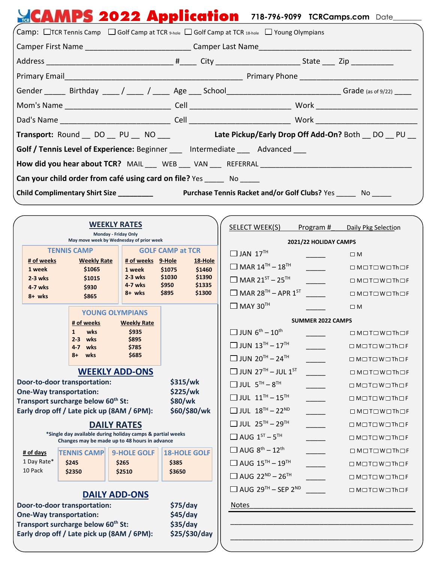| <b>CAMPS 2022 Application</b> 718-796-9099 TCRCamps.com Date                                                                                |  |  |  |  |  |
|---------------------------------------------------------------------------------------------------------------------------------------------|--|--|--|--|--|
| $\sqrt{a}$ Camp: $\Box$ TCR Tennis Camp $\Box$ Golf Camp at TCR $\overline{a}$ -hole $\Box$ Golf Camp at TCR 18-hole $\Box$ Young Olympians |  |  |  |  |  |
|                                                                                                                                             |  |  |  |  |  |
|                                                                                                                                             |  |  |  |  |  |
|                                                                                                                                             |  |  |  |  |  |
| Gender ______ Birthday ____/ ____ / ____ Age ___ School ______________________________Grade (as of 9/22) _____                              |  |  |  |  |  |
|                                                                                                                                             |  |  |  |  |  |
|                                                                                                                                             |  |  |  |  |  |
| Transport: Round DO PU NO Late Pickup/Early Drop Off Add-On? Both DO PU                                                                     |  |  |  |  |  |
| Golf / Tennis Level of Experience: Beginner ___ Intermediate ___ Advanced ___                                                               |  |  |  |  |  |
| How did you hear about TCR? MAIL ___ WEB ___ VAN ___ REFERRAL ___________________                                                           |  |  |  |  |  |
| Can your child order from café using card on file? Yes _______ No ______                                                                    |  |  |  |  |  |
| <b>Purchase Tennis Racket and/or Golf Clubs?</b> Yes No<br>Child Complimentary Shirt Size __________                                        |  |  |  |  |  |

| <b>WEEKLY RATES</b>                                                                                                               |                                                                  |                                   | <b>SELECT WEEK(S)</b>                             | Program#                                          | Daily Pkg Selection                               |                   |                                                              |
|-----------------------------------------------------------------------------------------------------------------------------------|------------------------------------------------------------------|-----------------------------------|---------------------------------------------------|---------------------------------------------------|---------------------------------------------------|-------------------|--------------------------------------------------------------|
|                                                                                                                                   | Monday - Friday Only<br>May move week by Wednesday of prior week |                                   |                                                   | 2021/22 HOLIDAY CAMPS                             |                                                   |                   |                                                              |
|                                                                                                                                   | <b>TENNIS CAMP</b>                                               |                                   | <b>GOLF CAMP at TCR</b>                           | $\Box$ JAN 17 <sup>TH</sup>                       |                                                   | $\square$ M       |                                                              |
|                                                                                                                                   | # of weeks<br>1 week                                             | <b>Weekly Rate</b><br>\$1065      | # of weeks 9-Hole<br>1 week                       | 18-Hole<br>\$1460<br>\$1075                       | $\Box$ MAR $14^{TH} - 18^{TH}$                    |                   | $\Box$ MOTOWOThOF                                            |
|                                                                                                                                   | $2-3$ wks                                                        | \$1015                            | $2-3$ wks                                         | \$1030<br>\$1390                                  | $\Box$ MAR 21 <sup>ST</sup> – 25 <sup>TH</sup>    |                   | $\Box$ MOTOWOThOF                                            |
|                                                                                                                                   | 4-7 wks                                                          | \$930                             | 4-7 wks<br>8+ wks                                 | \$950<br>\$1335<br>\$895<br>\$1300                | $\Box$ MAR 28 <sup>TH</sup> - APR 1 <sup>ST</sup> |                   | $\Box$ MOTOWOThOF                                            |
|                                                                                                                                   | 8+ wks                                                           | \$865                             |                                                   |                                                   | $\Box$ MAY 30 <sup>TH</sup>                       |                   | $\square$ M                                                  |
| <b>YOUNG OLYMPIANS</b>                                                                                                            |                                                                  |                                   | <b>SUMMER 2022 CAMPS</b>                          |                                                   |                                                   |                   |                                                              |
|                                                                                                                                   |                                                                  | # of weeks<br>wks<br>$\mathbf{1}$ | <b>Weekly Rate</b><br>\$935                       |                                                   | $\Box$ JUN $6^{\text{th}} - 10^{\text{th}}$       |                   |                                                              |
|                                                                                                                                   |                                                                  | $2 - 3$<br>wks                    | \$895                                             |                                                   |                                                   |                   | $\square$ M $\square$ T $\square$ W $\square$ Th $\square$ F |
|                                                                                                                                   |                                                                  | 4-7 wks<br>wks<br>8+              | \$785<br>\$685                                    |                                                   | $\Box$ JUN $13^{\text{TH}} - 17^{\text{TH}}$      |                   | $\Box$ M $\Box$ T $\Box$ W $\Box$ Th $\Box$ F                |
|                                                                                                                                   |                                                                  |                                   |                                                   |                                                   | $\Box$ JUN 20 <sup>TH</sup> - 24 <sup>TH</sup>    |                   | $\Box$ MOTOWOThOF                                            |
|                                                                                                                                   | <b>WEEKLY ADD-ONS</b>                                            |                                   |                                                   | $\Box$ JUN 27 <sup>TH</sup> - JUL 1 <sup>ST</sup> |                                                   | $\Box$ MOTOWOThOF |                                                              |
| Door-to-door transportation:<br>\$315/wk                                                                                          |                                                                  |                                   | $\Box$ JUL $5^{\text{TH}} - 8^{\text{TH}}$        |                                                   | $\Box$ MOTOWOThOF                                 |                   |                                                              |
| \$225/wk<br><b>One-Way transportation:</b><br>Transport surcharge below 60 <sup>th</sup> St:<br>\$80/wk                           |                                                                  |                                   | $\Box$ JUL $11^{\text{TH}} - 15^{\text{TH}}$      |                                                   | $\Box$ MOTOWOTh OF                                |                   |                                                              |
| Early drop off / Late pick up (8AM / 6PM):<br>\$60/\$80/wk                                                                        |                                                                  |                                   | $\Box$ JUL $18^{TH} - 22^{ND}$                    |                                                   | $\Box$ M $\Box$ T $\Box$ W $\Box$ Th $\Box$ F     |                   |                                                              |
| <b>DAILY RATES</b><br>*Single day available during holiday camps & partial weeks<br>Changes may be made up to 48 hours in advance |                                                                  |                                   | $\Box$ JUL 25 <sup>TH</sup> - 29 <sup>TH</sup>    |                                                   | $\Box$ M $\Box$ T $\Box$ W $\Box$ Th $\Box$ F     |                   |                                                              |
|                                                                                                                                   |                                                                  |                                   | $\Box$ AUG $1^{ST} - 5^{TH}$                      |                                                   | $\Box$ MOTOWOThOF                                 |                   |                                                              |
|                                                                                                                                   | # of days                                                        | <b>TENNIS CAMP</b>                | <b>9-HOLE GOLF</b>                                | <b>18-HOLE GOLF</b>                               | $\Box$ AUG $8^{\text{th}} - 12^{\text{th}}$       |                   | $\Box$ MOTOWOThOF                                            |
|                                                                                                                                   | 1 Day Rate*                                                      | \$245                             | \$265                                             | \$385                                             | $\Box$ AUG $15^{\text{TH}} - 19^{\text{TH}}$      |                   | $\Box$ MOTOWOThOF                                            |
|                                                                                                                                   | 10 Pack                                                          | \$2350                            | \$2510                                            | \$3650                                            | $\Box$ AUG 22 <sup>ND</sup> - 26 <sup>TH</sup>    |                   | $\Box$ MOTOWOThOF                                            |
| <b>DAILY ADD-ONS</b>                                                                                                              |                                                                  |                                   | $\Box$ AUG 29 <sup>TH</sup> – SEP 2 <sup>ND</sup> |                                                   | $\Box$ MOTOWOThOF                                 |                   |                                                              |
|                                                                                                                                   | Door-to-door transportation:<br>\$75/day                         |                                   |                                                   | <b>Notes</b>                                      |                                                   |                   |                                                              |
| \$45/day<br><b>One-Way transportation:</b>                                                                                        |                                                                  |                                   |                                                   |                                                   |                                                   |                   |                                                              |
|                                                                                                                                   | \$35/day<br>Transport surcharge below 60 <sup>th</sup> St:       |                                   |                                                   |                                                   |                                                   |                   |                                                              |
| \$25/\$30/day<br>Early drop off / Late pick up (8AM / 6PM):                                                                       |                                                                  |                                   |                                                   |                                                   |                                                   |                   |                                                              |
|                                                                                                                                   |                                                                  |                                   |                                                   |                                                   |                                                   |                   |                                                              |

 $\overline{\phantom{a}}$  , and the set of the set of the set of the set of the set of the set of the set of the set of the set of the set of the set of the set of the set of the set of the set of the set of the set of the set of the s